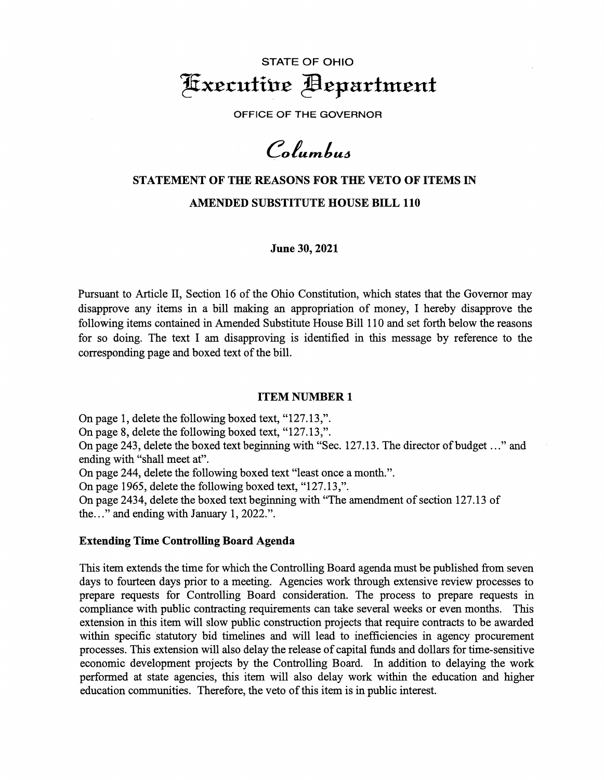# STATE OF OHIO  $x$ xecutive **Pepartment**

OFFICE OF THE **GOVERNOR** 

Columbus

# **STATEMENT OF THE REASONS FOR THE VETO OF ITEMS** IN **AMENDED SUBSTITUTE HOUSE BILL 110**

**June 30, 2021** 

Pursuant to Article II, Section 16 of the Ohio Constitution, which states that the Governor may disapprove any items in a bill making an appropriation of money, I hereby disapprove the following items contained in Amended Substitute House Bill 110 and set forth below the reasons for so doing. The text I am disapproving is identified in this message by reference to the corresponding page and boxed text of the bill.

#### **ITEM NUMBER 1**

On page 1, delete the following boxed text, "127.13,". On page 8, delete the following boxed text, "127.13,". On page 243, delete the boxed text beginning with "Sec. 127.13. The director of budget ..." and ending with "shall meet at". On page 244, delete the following boxed text "least once a month.". On page 1965, delete the following boxed text, "127.13,". On page 2434, delete the boxed text beginning with "The amendment of section 127.13 of

the..." and ending with January 1, 2022.".

#### **Extending Time Controlling Board Agenda**

This item extends the time for which the Controlling Board agenda must be published from seven days to fourteen days prior to a meeting. Agencies work through extensive review processes to prepare requests for Controlling Board consideration. The process to prepare requests in compliance with public contracting requirements can take several weeks or even months. This extension in this item will slow public construction projects that require contracts to be awarded within specific statutory bid timelines and will lead to inefficiencies in agency procurement processes. This extension will also delay the release of capital funds and dollars for time-sensitive economic development projects by the Controlling Board. In addition to delaying the work performed at state agencies, this item will also delay work within the education and higher education communities. Therefore, the veto of this item is in public interest.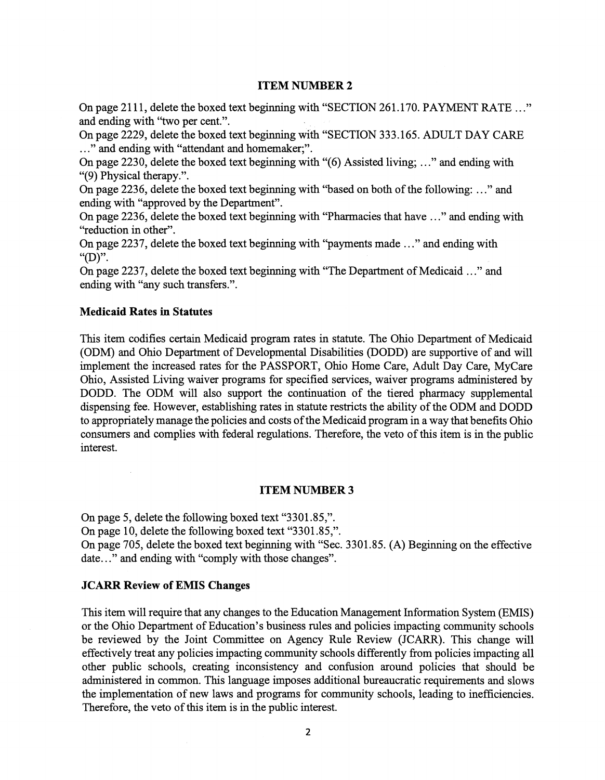# **ITEM NUMBER 2**

On page 2111, delete the boxed text beginning with "SECTION 261.170. PAYMENT RATE ..." and ending with "two per cent.".

On page 2229, delete the boxed text beginning with ''SECTION 333.165. ADULT DAY CARE ..." and ending with "attendant and homemaker;".

On page 2230, delete the boxed text beginning with "(6) Assisted living; ... " and ending with "(9) Physical therapy.".

On page 2236, delete the boxed text beginning with "based on both of the following: ..." and ending with "approved by the Department".

On page 2236, delete the boxed text beginning with "Pharmacies that have ..." and ending with "reduction in other".

On page 2237, delete the boxed text beginning with "payments made ..." and ending with "(D)".

On page 2237, delete the boxed text beginning with "The Department of Medicaid ..." and ending with "any such transfers.".

# **Medicaid Rates in Statutes**

 $\mathcal{L}$ 

This item codifies certain Medicaid program rates in statute. The Ohio Department of Medicaid (ODM) and Ohio Department of Developmental Disabilities (DODD) are supportive of and will implement the increased rates for the PASSPORT, Ohio Home Care, Adult Day Care, MyCare Ohio, Assisted Living waiver programs for specified services, waiver programs administered by DODD. The ODM will also support the continuation of the tiered pharmacy supplemental dispensing fee. However, establishing rates in statute restricts the ability of the ODM and DODD to appropriately manage the policies and costs of the Medicaid program in a way that benefits Ohio consumers and complies with federal regulations. Therefore, the veto of this item is in the public interest.

# **ITEM NUMBER 3**

On page 5, delete the following boxed text "3301.85,". On page 10, delete the following boxed text "3301.85,". On page 705, delete the boxed text beginning with "Sec. 3301.85. (A) Beginning on the effective date..." and ending with "comply with those changes".

# **JCARR Review of EMIS Changes**

This item will require that any changes to the Education Management Information System (EMIS) or the Ohio Department of Education's business rules and policies impacting community schools be reviewed by the Joint Committee on Agency Rule Review (JCARR). This change will effectively treat any policies impacting community schools differently from policies impacting all other public schools, creating inconsistency and confusion around policies that should be administered in common. This language imposes additional bureaucratic requirements and slows the implementation of new laws and programs for community schools, leading to inefficiencies. Therefore, the veto of this item is in the public interest.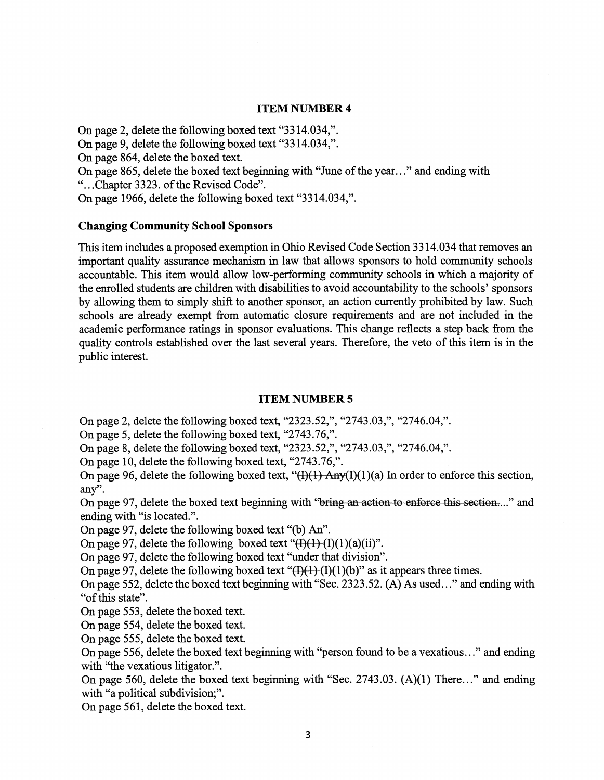# **ITEM NUMBER 4**

On page 2, delete the following boxed text "3314.034,".

On page 9, delete the following boxed text "3314.034,".

On page 864, delete the boxed text.

On page 865, delete the boxed text beginning with "June of the year ... " and ending with

"...Chapter 3323. of the Revised Code".

On page 1966, delete the following boxed text "3314.034,".

#### **Changing Community School Sponsors**

This item includes a proposed exemption in Ohio Revised Code Section 3314.034 that removes an important quality assurance mechanism in law that allows sponsors to hold community schools accountable. This item would allow low-performing community schools in which a majority of the enrolled students are children with disabilities to avoid accountability to the schools' sponsors by allowing them to simply shift to another sponsor, an action currently prohibited by law. Such schools are already exempt from automatic closure requirements and are not included in the academic performance ratings in sponsor evaluations. This change reflects a step back from the quality controls established over the last several years. Therefore, the veto of this item is in the public interest.

#### **ITEM NUMBER 5**

On page 2, delete the following boxed text, "2323.52,", "2743.03,", "2746.04,".

On page 5, delete the following boxed text, "2743.76,".

On page 8, delete the following boxed text, "2323.52,", "2743.03,", "2746.04,".

On page 10, delete the following boxed text, "2743.76,".

On page 96, delete the following boxed text, " $(H)(1)$  Any(I)(1)(a) In order to enforce this section, any".

On page 97, delete the boxed text beginning with "bring an action to enforce this section...." and ending with "is located.".

On page 97, delete the following boxed text "(b) An".

On page 97, delete the following boxed text " $(H)(1)(1)(a)(ii)$ ".

On page 97, delete the following boxed text ''under that division".

On page 97, delete the following boxed text " $(H)(1)(1)(b)$ " as it appears three times.

On page 552, delete the boxed text beginning with "Sec. 2323.52. (A) As used ... " and ending with "of this state".

On page 553, delete the boxed text.

On page 554, delete the boxed text.

On page 555, delete the boxed text.

On page 556, delete the boxed text beginning with "person found to be a vexatious ..." and ending with "the vexatious litigator.".

On page 560, delete the boxed text beginning with "Sec. 2743.03. (A)(l) There..." and ending with "a political subdivision;".

On page 561, delete the boxed text.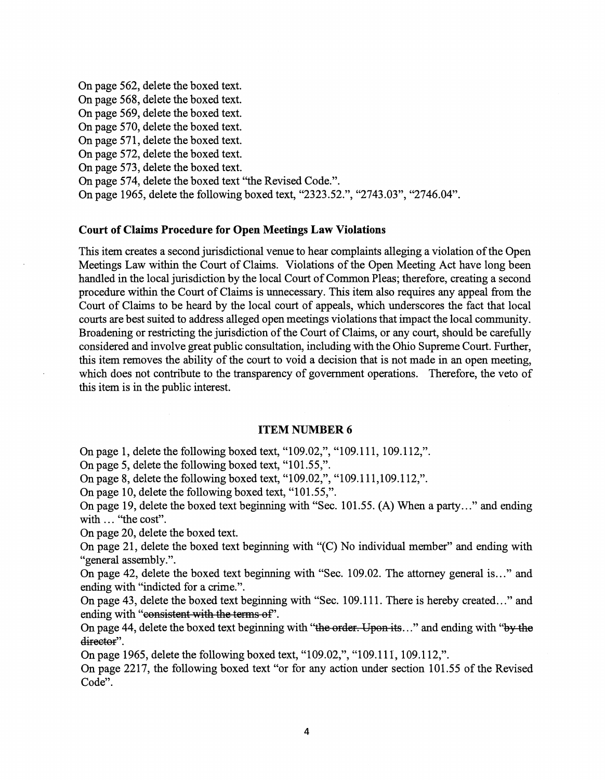On page 562, delete the boxed text. On page 568, delete the boxed text. On page 569, delete the boxed text. On page 570, delete the boxed text. On page 571, delete the boxed text. On page 572, delete the boxed text. On page 573, delete the boxed text. On page 574, delete the boxed text "the Revised Code.". On page 1965, delete the following boxed text, "2323.52.", "2743.03", "2746.04".

#### **Court of Claims Procedure for Open Meetings Law Violations**

This item creates a second jurisdictional venue to hear complaints alleging a violation of the Open Meetings Law within the Court of Claims. Violations of the Open Meeting Act have long been handled in the local jurisdiction by the local Court of Common Pleas; therefore, creating a second procedure within the Court ofClaims is unnecessary. This item also requires any appeal from the Court of Claims to be heard by the local court of appeals, which underscores the fact that local courts are best suited to address alleged open meetings violations that impact the local community. Broadening or restricting the jurisdiction of the Court of Claims, or any court, should be carefully considered and involve great public consultation, including with the Ohio Supreme Court. Further, this item removes the ability of the court to void a decision that is not made in an open meeting, which does not contribute to the transparency of government operations. Therefore, the veto of this item is in the public interest.

#### **ITEM NUMBER 6**

On page 1, delete the following boxed text, "109.02,", "109.111, 109.112,".

On page 5, delete the following boxed text, "101.55,".

On page 8, delete the following boxed text, "109.02,", "109.111,109.112,".

On page 10, delete the following boxed text, "101.55,".

On page 19, delete the boxed text beginning with "Sec. 101.55. (A) When a party..." and ending with ... "the cost".

On page 20, delete the boxed text.

On page 21, delete the boxed text beginning with "(C) No individual member" and ending with "general assembly.".

On page 42, delete the boxed text beginning with "Sec. 109.02. The attorney general is ..." and ending with "indicted for a crime.".

On page 43, delete the boxed text beginning with "Sec. 109.111. There is hereby created ..." and ending with "consistent with the terms of".

On page 44, delete the boxed text beginning with "the order. Upon its..." and ending with "by the director".

On page 1965, delete the following boxed text, "109.02,", "109.111, 109.112,".

On page 2217, the following boxed text "or for any action under section 101.55 of the Revised Code".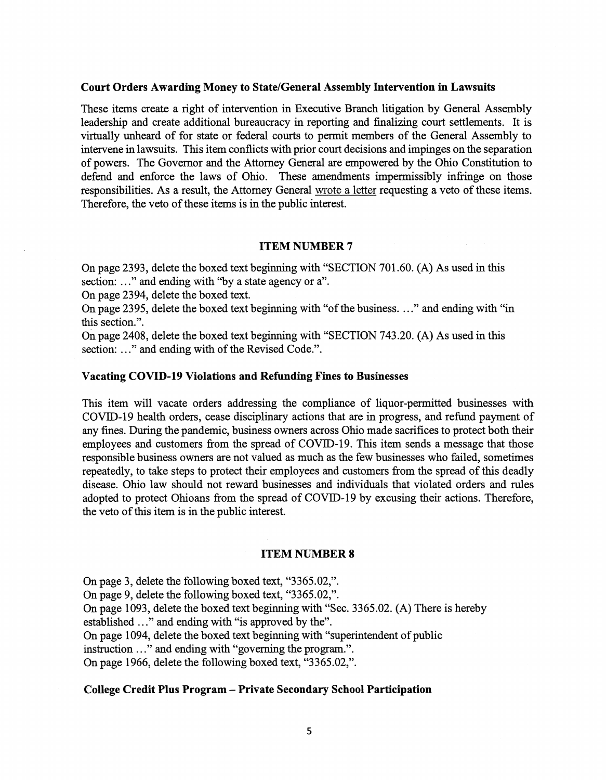#### **Court Orders Awarding Money to State/General Assembly Intervention in Lawsuits**

These items create a right of intervention in Executive Branch litigation by General Assembly leadership and create additional bureaucracy in reporting and finalizing court settlements. It is virtually unheard of for state or federal courts to permit members of the General Assembly to intervene in lawsuits. This item conflicts with prior court decisions and impinges on the separation of powers. The Governor and the Attorney General are empowered by the Ohio Constitution to defend and enforce the laws of Ohio. These amendments impermissibly infringe on those responsibilities. As a result, the Attorney General wrote a letter requesting a veto of these items. Therefore, the veto of these items is in the public interest.

# **ITEM NUMBER 7**

On page 2393, delete the boxed text beginning with "SECTION 701.60. (A) As used in this section: ..." and ending with "by a state agency or a".

On page 2394, delete the boxed text.

On page 2395, delete the boxed text beginning with "of the business. ..." and ending with "in this section.".

On page 2408, delete the boxed text beginning with "SECTION 743.20. (A) As used in this section: ..." and ending with of the Revised Code.".

# **Vacating COVID-19 Violations and Refunding Fines to Businesses**

This item will vacate orders addressing the compliance of liquor-permitted businesses with COVID-19 health orders, cease disciplinary actions that are in progress, and refund payment of any fines. During the pandemic, business owners across Ohio made sacrifices to protect both their employees and customers from the spread of COVID-19. This item sends a message that those responsible business owners are not valued as much as the few businesses who failed, sometimes repeatedly, to take steps to protect their employees and customers from the spread of this deadly disease. Ohio law should not reward businesses and individuals that violated orders and rules adopted to protect Ohioans from the spread of COVID-19 by excusing their actions. Therefore, the veto of this item is in the public interest.

#### **ITEM NUMBER 8**

On page 3, delete the following boxed text, "3365.02,". On page 9, delete the following boxed text, "3365.02,". On page 1093, delete the boxed text beginning with "Sec. 3365.02. (A) There is hereby established ..." and ending with "is approved by the". On page 1094, delete the boxed text beginning with "superintendent of public instruction ..." and ending with "governing the program.". On page 1966, delete the following boxed text, "3365.02,".

# **College Credit Plus Program - Private Secondary School Participation**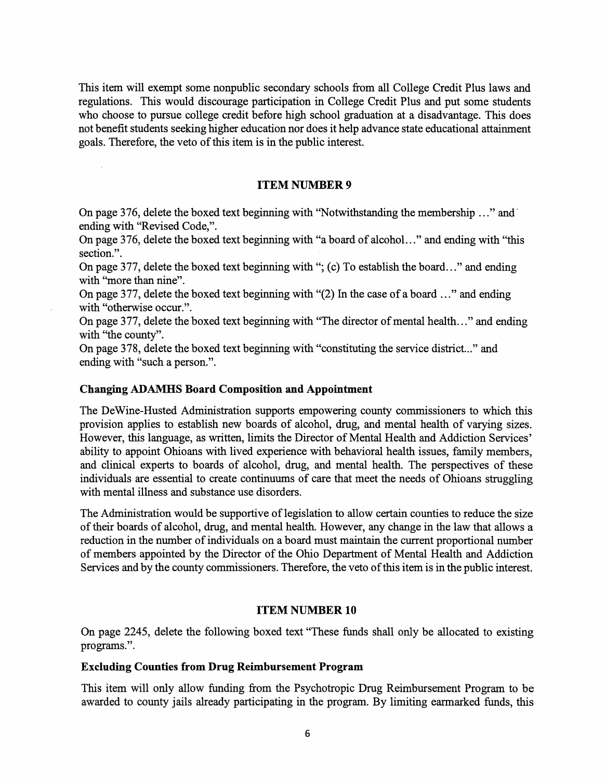This item will exempt some nonpublic secondary schools from all College Credit Plus laws and regulations. This would discourage participation in College Credit Plus and put some students who choose to pursue college credit before high school graduation at a disadvantage. This does not benefit students seeking higher education nor does it help advance state educational attainment goals. Therefore, the veto of this item is in the public interest.

# **ITEM NUMBER 9**

On page 376, delete the boxed text beginning with ''Notwithstanding the membership ..." and· ending with "Revised Code,".

On page 3 76, delete the boxed text beginning with "a board of alcohol. .. " and ending with "this section.".

On page 377, delete the boxed text beginning with "; (c) To establish the board..." and ending with "more than nine".

On page 377, delete the boxed text beginning with "(2) In the case of a board  $\ldots$ " and ending with "otherwise occur.".

On page 377, delete the boxed text beginning with "The director of mental health..." and ending with "the county".

On page 378, delete the boxed text beginning with "constituting the service district..." and ending with "such a person.".

# **Changing ADAMHS Board Composition and Appointment**

The DeWine-Husted Administration supports empowering county commissioners to which this provision applies to establish new boards of alcohol, drug, and mental health of varying sizes. However, this language, as written, limits the Director of Mental Health and Addiction Services' ability to appoint Ohioans with lived experience with behavioral health issues, family members, and clinical experts to boards of alcohol, drug, and mental health. The perspectives of these individuals are essential to create continuums of care that meet the needs of Ohioans struggling with mental illness and substance use disorders.

The Administration would be supportive of legislation to allow certain counties to reduce the size of their boards of alcohol, drug, and mental health. However, any change in the law that allows a reduction in the number of individuals on a board must maintain the current proportional number of members appointed by the Director of the Ohio Department of Mental Health and Addiction Services and by the county commissioners. Therefore, the veto of this item is in the public interest.

# **ITEM NUMBER 10**

On page 2245, delete the following boxed text "These funds shall only be allocated to existing programs.".

#### **Excluding Counties from Drug Reimbursement Program**

This item will only allow funding from the Psychotropic Drug Reimbursement Program to be awarded to county jails already participating in the program. By limiting earmarked funds, this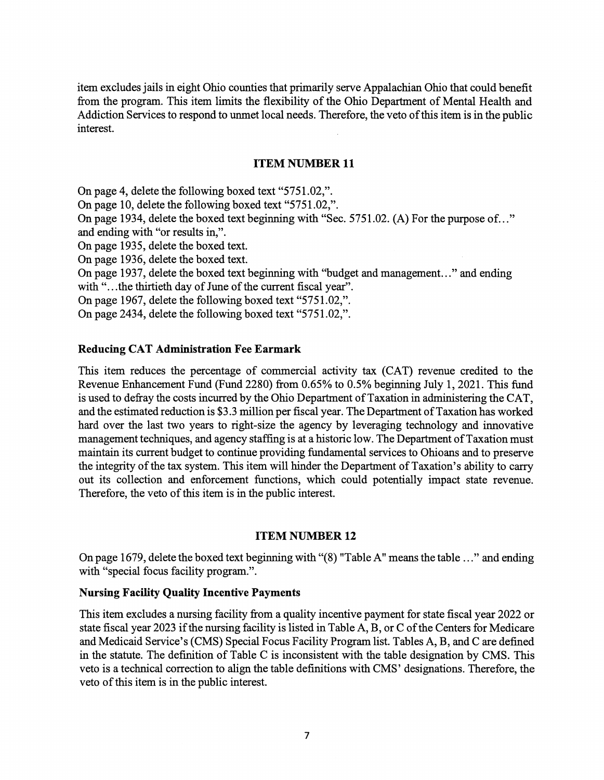item excludes jails in eight Ohio counties that primarily serve Appalachian Ohio that could benefit from the program. This item limits the flexibility of the Ohio Department of Mental Health and Addiction Services to respond to unmet local needs. Therefore, the veto of this item is in the public interest.

# **ITEM NUMBER 11**

On page 4, delete the following boxed text "5751.02,".

On page 10, delete the following boxed text "5751.02,".

On page 1934, delete the boxed text beginning with "Sec. 5751.02. (A) For the purpose of..." and ending with "or results in,".

On page 1935, delete the boxed text.

On page 1936, delete the boxed text.

On page 1937, delete the boxed text beginning with "budget and management..." and ending with "...the thirtieth day of June of the current fiscal year".

On page 1967, delete the following boxed text "5751.02,".

On page 2434, delete the following boxed text "5751.02,".

# **Reducing CAT Administration Fee Earmark**

This item reduces the percentage of commercial activity tax (CAT) revenue credited to the Revenue Enhancement Fund (Fund 2280) from 0.65% to 0.5% beginning July 1, 2021. This fund is used to defray the costs incurred by the Ohio Department ofTaxation in administering the CAT, and the estimated reduction is \$3.3 million per fiscal year. The Department of Taxation has worked hard over the last two years to right-size the agency by leveraging technology and innovative management techniques, and agency staffing is at a historic low. The Department of Taxation must maintain its current budget to continue providing fundamental services to Ohioans and to preserve the integrity of the tax system. This item will hinder the Department of Taxation's ability to carry out its collection and enforcement functions, which could potentially impact state revenue. Therefore, the veto of this item is in the public interest.

# **ITEM NUMBER 12**

On page 1679, delete the boxed text beginning with "(8) "Table A" means the table ..." and ending with "special focus facility program.".

### **Nursing Facility Quality Incentive Payments**

This item excludes a nursing facility from a quality incentive payment for state fiscal year 2022 or state fiscal year 2023 if the nursing facility is listed in Table A, B, or C of the Centers for Medicare and Medicaid Service's (CMS) Special Focus Facility Program list. Tables A, B, and C are defined in the statute. The definition of Table C is inconsistent with the table designation by CMS. This veto is a technical correction to align the table definitions with CMS' designations. Therefore, the veto of this item is in the public interest.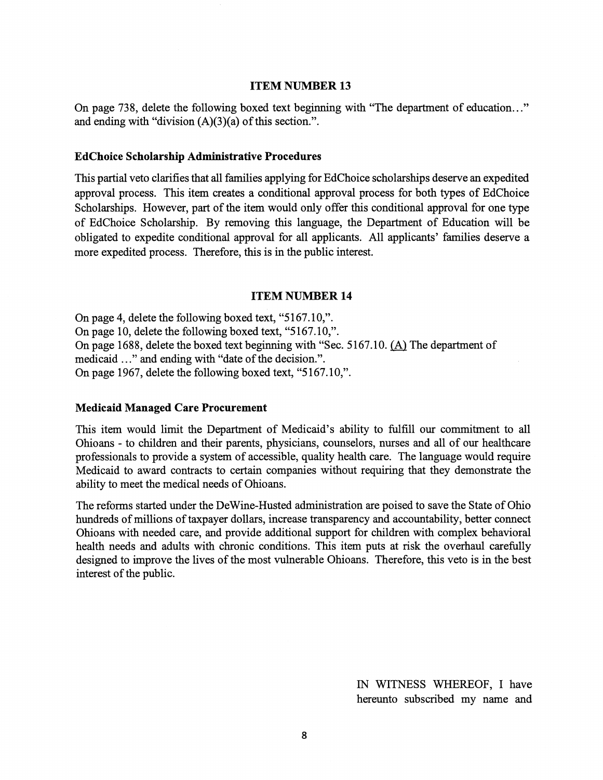#### **ITEM NUMBER 13**

On page 738, delete the following boxed text beginning with "The department of education..." and ending with "division  $(A)(3)(a)$  of this section.".

#### **EdChoice Scholarship Administrative Procedures**

This partial veto clarifies that all families applying for EdChoice scholarships deserve an expedited approval process. This item creates a conditional approval process for both types of EdChoice Scholarships. However, part of the item would only offer this conditional approval for one type of EdChoice Scholarship. By removing this language, the Department of Education will be obligated to expedite conditional approval for all applicants. All applicants' families deserve a more expedited process. Therefore, this is in the public interest.

# **ITEM NUMBER 14**

On page 4, delete the following boxed text, "5167.10,". On page 10, delete the following boxed text, "5167.10,". On page 1688, delete the boxed text beginning with "Sec. 5167.10. (A) The department of medicaid ..." and ending with "date of the decision.". On page 1967, delete the following boxed text, "5167.10,".

#### **Medicaid Managed Care Procurement**

This item would limit the Department of Medicaid's ability to fulfill our commitment to all Ohioans - to children and their parents, physicians, counselors, nurses and all of our healthcare professionals to provide a system of accessible, quality health care. The language would require Medicaid to award contracts to certain companies without requiring that they demonstrate the ability to meet the medical needs of Ohioans.

The reforms started under the DeWine-Husted administration are poised to save the State of Ohio hundreds of millions of taxpayer dollars, increase transparency and accountability, better connect Ohioans with needed care, and provide additional support for children with complex behavioral health needs and adults with chronic conditions. This item puts at risk the overhaul carefully designed to improve the lives of the most vulnerable Ohioans. Therefore, this veto is in the best interest of the public.

> IN WITNESS WHEREOF, I have hereunto subscribed my name and